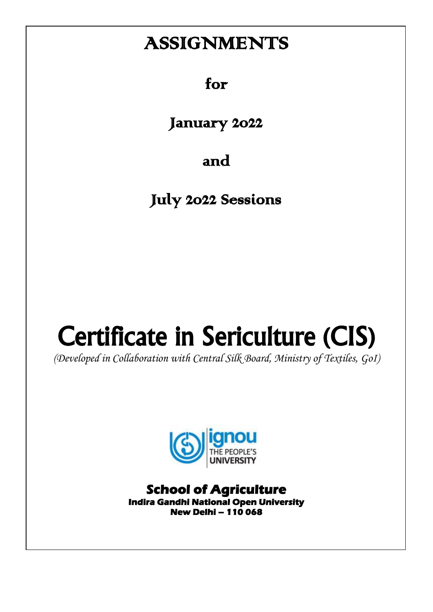## ASSIGNMENTS

for

January 2022

and

July 2022 Sessions

# Certificate in Sericulture (CIS)

*(Developed in Collaboration with Central Silk Board, Ministry of Textiles, GoI)*



**School of Agriculture Indira Gandhi National Open University New Delhi – 110 068**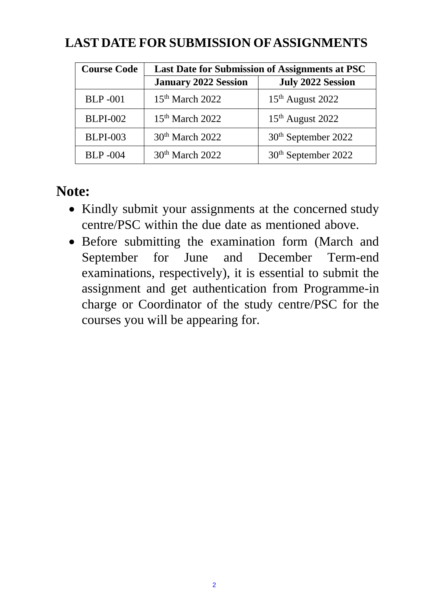| <b>Course Code</b> | Last Date for Submission of Assignments at PSC |                                 |
|--------------------|------------------------------------------------|---------------------------------|
|                    | <b>January 2022 Session</b>                    | <b>July 2022 Session</b>        |
| <b>BLP-001</b>     | $15th$ March 2022                              | $15th$ August 2022              |
| <b>BLPI-002</b>    | $15th$ March 2022                              | $15th$ August 2022              |
| <b>BLPI-003</b>    | 30 <sup>th</sup> March 2022                    | 30 <sup>th</sup> September 2022 |
| <b>BLP-004</b>     | $30th$ March 2022                              | 30 <sup>th</sup> September 2022 |

## **LAST DATE FOR SUBMISSION OFASSIGNMENTS**

## **Note:**

- Kindly submit your assignments at the concerned study centre/PSC within the due date as mentioned above.
- Before submitting the examination form (March and September for June and December Term-end examinations, respectively), it is essential to submit the assignment and get authentication from Programme-in charge or Coordinator of the study centre/PSC for the courses you will be appearing for.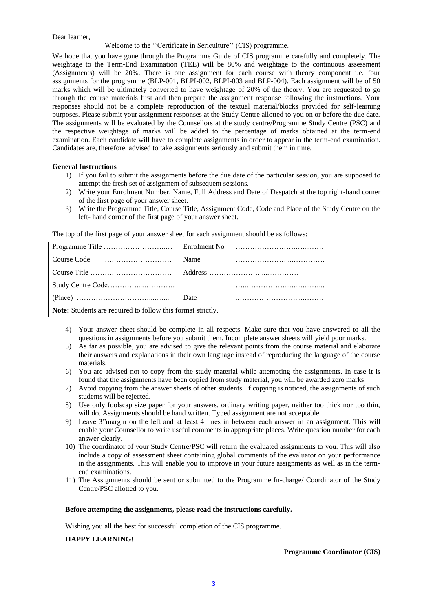#### Dear learner,

#### Welcome to the ''Certificate in Sericulture'' (CIS) programme.

We hope that you have gone through the Programme Guide of CIS programme carefully and completely. The weightage to the Term-End Examination (TEE) will be 80% and weightage to the continuous assessment (Assignments) will be 20%. There is one assignment for each course with theory component i.e. four assignments for the programme (BLP-001, BLPI-002, BLPI-003 and BLP-004). Each assignment will be of 50 marks which will be ultimately converted to have weightage of 20% of the theory. You are requested to go through the course materials first and then prepare the assignment response following the instructions. Your responses should not be a complete reproduction of the textual material/blocks provided for self-learning purposes. Please submit your assignment responses at the Study Centre allotted to you on or before the due date. The assignments will be evaluated by the Counsellors at the study centre/Programme Study Centre (PSC) and the respective weightage of marks will be added to the percentage of marks obtained at the term-end examination. Each candidate will have to complete assignments in order to appear in the term-end examination. Candidates are, therefore, advised to take assignments seriously and submit them in time.

#### **General Instructions**

- 1) If you fail to submit the assignments before the due date of the particular session, you are supposed to attempt the fresh set of assignment of subsequent sessions.
- 2) Write your Enrolment Number, Name, Full Address and Date of Despatch at the top right-hand corner of the first page of your answer sheet.
- 3) Write the Programme Title, Course Title, Assignment Code, Code and Place of the Study Centre on the left- hand corner of the first page of your answer sheet.

The top of the first page of your answer sheet for each assignment should be as follows:

|                                                             | Name |  |  |  |
|-------------------------------------------------------------|------|--|--|--|
|                                                             |      |  |  |  |
|                                                             |      |  |  |  |
|                                                             |      |  |  |  |
| Note: Students are required to follow this format strictly. |      |  |  |  |

- 4) Your answer sheet should be complete in all respects. Make sure that you have answered to all the questions in assignments before you submit them. Incomplete answer sheets will yield poor marks.
- 5) As far as possible, you are advised to give the relevant points from the course material and elaborate their answers and explanations in their own language instead of reproducing the language of the course materials.
- 6) You are advised not to copy from the study material while attempting the assignments. In case it is found that the assignments have been copied from study material, you will be awarded zero marks.
- 7) Avoid copying from the answer sheets of other students. If copying is noticed, the assignments of such students will be rejected.
- 8) Use only foolscap size paper for your answers, ordinary writing paper, neither too thick nor too thin, will do. Assignments should be hand written. Typed assignment are not acceptable.
- 9) Leave 3"margin on the left and at least 4 lines in between each answer in an assignment. This will enable your Counsellor to write useful comments in appropriate places. Write question number for each answer clearly.
- 10) The coordinator of your Study Centre/PSC will return the evaluated assignments to you. This will also include a copy of assessment sheet containing global comments of the evaluator on your performance in the assignments. This will enable you to improve in your future assignments as well as in the termend examinations.
- 11) The Assignments should be sent or submitted to the Programme In-charge/ Coordinator of the Study Centre/PSC allotted to you.

#### **Before attempting the assignments, please read the instructions carefully.**

Wishing you all the best for successful completion of the CIS programme.

#### **HAPPY LEARNING!**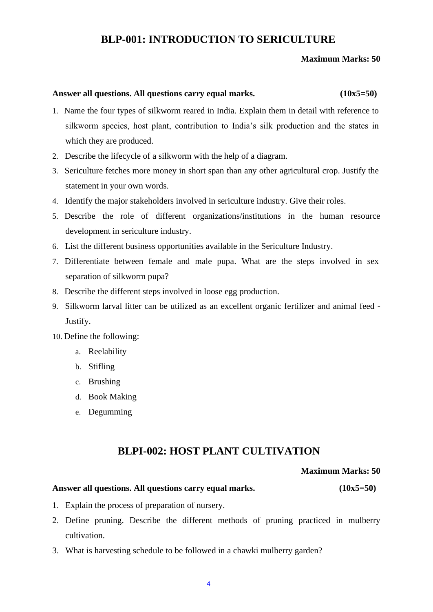#### **BLP-001: INTRODUCTION TO SERICULTURE**

#### **Maximum Marks: 50**

#### **Answer all questions. All questions carry equal marks. (10x5=50)**

- 1. Name the four types of silkworm reared in India. Explain them in detail with reference to silkworm species, host plant, contribution to India's silk production and the states in which they are produced.
- 2. Describe the lifecycle of a silkworm with the help of a diagram.
- 3. Sericulture fetches more money in short span than any other agricultural crop. Justify the statement in your own words.
- 4. Identify the major stakeholders involved in sericulture industry. Give their roles.
- 5. Describe the role of different organizations/institutions in the human resource development in sericulture industry.
- 6. List the different business opportunities available in the Sericulture Industry.
- 7. Differentiate between female and male pupa. What are the steps involved in sex separation of silkworm pupa?
- 8. Describe the different steps involved in loose egg production.
- 9. Silkworm larval litter can be utilized as an excellent organic fertilizer and animal feed Justify.
- 10. Define the following:
	- a. Reelability
	- b. Stifling
	- c. Brushing
	- d. Book Making
	- e. Degumming

#### **BLPI-002: HOST PLANT CULTIVATION**

#### **Maximum Marks: 50**

#### **Answer all questions. All questions carry equal marks. (10x5=50)**

- 1. Explain the process of preparation of nursery.
- 2. Define pruning. Describe the different methods of pruning practiced in mulberry cultivation.
- 3. What is harvesting schedule to be followed in a chawki mulberry garden?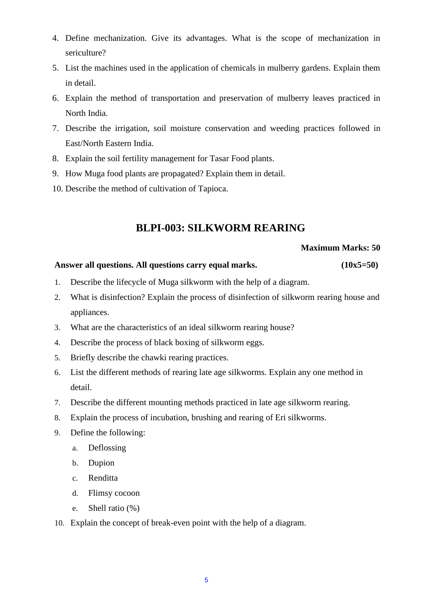- 4. Define mechanization. Give its advantages. What is the scope of mechanization in sericulture?
- 5. List the machines used in the application of chemicals in mulberry gardens. Explain them in detail.
- 6. Explain the method of transportation and preservation of mulberry leaves practiced in North India.
- 7. Describe the irrigation, soil moisture conservation and weeding practices followed in East/North Eastern India.
- 8. Explain the soil fertility management for Tasar Food plants.
- 9. How Muga food plants are propagated? Explain them in detail.
- 10. Describe the method of cultivation of Tapioca.

### **BLPI-003: SILKWORM REARING**

#### **Maximum Marks: 50**

#### **Answer all questions. All questions carry equal marks. (10x5=50)**

- 1. Describe the lifecycle of Muga silkworm with the help of a diagram.
- 2. What is disinfection? Explain the process of disinfection of silkworm rearing house and appliances.
- 3. What are the characteristics of an ideal silkworm rearing house?
- 4. Describe the process of black boxing of silkworm eggs.
- 5. Briefly describe the chawki rearing practices.
- 6. List the different methods of rearing late age silkworms. Explain any one method in detail.
- 7. Describe the different mounting methods practiced in late age silkworm rearing.
- 8. Explain the process of incubation, brushing and rearing of Eri silkworms.
- 9. Define the following:
	- a. Deflossing
	- b. Dupion
	- c. Renditta
	- d. Flimsy cocoon
	- e. Shell ratio (%)
- 10. Explain the concept of break-even point with the help of a diagram.